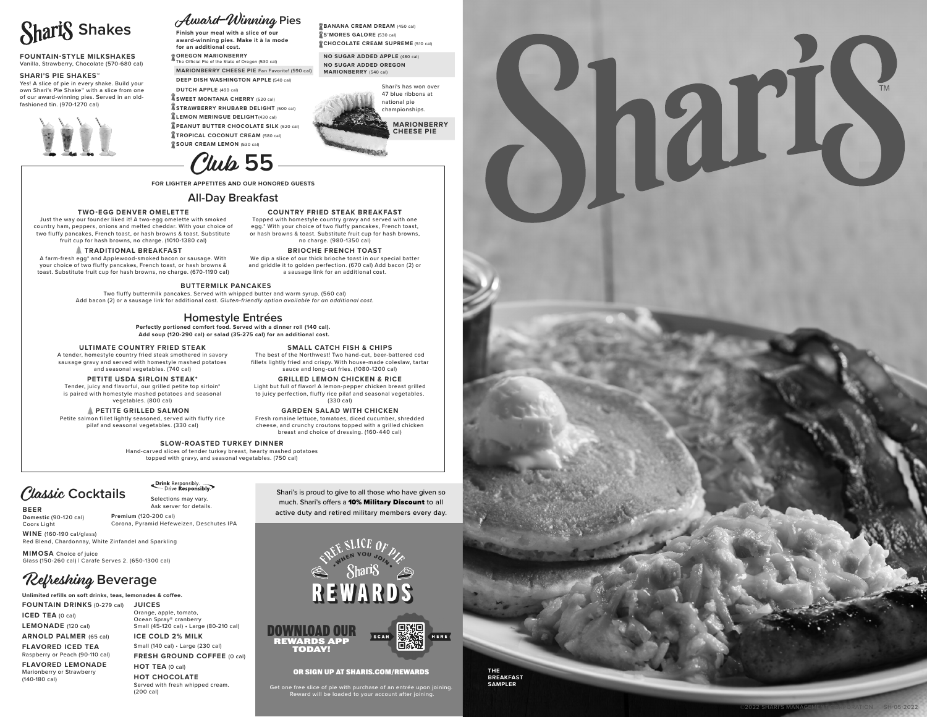

### **FOUNTAIN-STYLE MILKSHAKES**

Vanilla, Strawberry, Chocolate (570-680 cal)

### **SHARI'S PIE SHAKES™**

Yes! A slice of pie in every shake. Build your own Shari's Pie Shake™ with a slice from one of our award-winning pies. Served in an oldfashioned tin. (970-1270 cal)



### **MARIONBERRY CHEESE PIE** Fan Favorite! (590 cal) **DEEP DISH WASHINGTON APPLE** (540 cal) **DUTCH APPLE** (490 cal) **SWEET MONTANA CHERRY** (520 cal) **STRAWBERRY RHUBARB DELIGHT** (500 cal) **LEMON MERINGUE DELIGHT**(430 cal) **PEANUT BUTTER CHOCOLATE SILK** (620 cal)

**for an additional cost. OREGON MARIONBERRY** The Official Pie of the State of Oregon (530 cal)

**TROPICAL COCONUT CREAM (580 cal) SOUR CREAM LEMON** (530 cal)

## Club **55**

Award-Winning **Pies**

**Finish your meal with a slice of our award-winning pies. Make it à la mode** 

**FOR LIGHTER APPETITES AND OUR HONORED GUESTS**

### **All-Day Breakfast**

### **TWO-EGG DENVER OMELETTE**

Just the way our founder liked it! A two-egg omelette with smoked country ham, peppers, onions and melted cheddar. With your choice of two fluffy pancakes, French toast, or hash browns & toast. Substitute fruit cup for hash browns, no charge. (1010-1380 cal)

**TRADITIONAL BREAKFAST** 

A farm-fresh egg\* and Applewood-smoked bacon or sausage. With your choice of two fluffy pancakes, French toast, or hash browns & toast. Substitute fruit cup for hash browns, no charge. (670-1190 cal)

### **BUTTERMILK PANCAKES**

Two fluffy buttermilk pancakes. Served with whipped butter and warm syrup. (560 cal) Add bacon (2) or a sausage link for additional cost. *Gluten-friendly option available for an additional cost.*

### **Homestyle Entrées**

**Perfectly portioned comfort food. Served with a dinner roll (140 cal). Add soup (120-290 cal) or salad (35-275 cal) for an additional cost.**

### **ULTIMATE COUNTRY FRIED STEAK**

A tender, homestyle country fried steak smothered in savory sausage gravy and served with homestyle mashed potatoes and seasonal vegetables. (740 cal)

### **PETITE USDA SIRLOIN STEAK\***

Tender, juicy and flavorful, our grilled petite top sirloin\* is paired with homestyle mashed potatoes and seasonal vegetables. (800 cal)

### **PETITE GRILLED SALMON**

Petite salmon fillet lightly seasoned, served with fluffy rice pilaf and seasonal vegetables. (330 cal)

### **SLOW-ROASTED TURKEY DINNER**

Hand-carved slices of tender turkey breast, hearty mashed potatoes topped with gravy, and seasonal vegetables. (750 cal)

## Classic Cocktails Sesponsibly.

**BEER**

Ask server for details.

**Domestic** (90-120 cal) Coors Light **Premium** (120-200 cal) Corona, Pyramid Hefeweizen, Deschutes IPA

**WINE** (160-190 cal/glass) Red Blend, Chardonnay, White Zinfandel and Sparkling

**MIMOSA** Choice of juice Glass (150-260 cal) | Carafe Serves 2. (650-1300 cal)

### Refreshing **Beverage**

### **Unlimited refills on soft drinks, teas, lemonades & coffee.**

**FOUNTAIN DRINKS** (0-279 cal) **JUICES ICED TEA** (0 cal)

**LEMONADE** (120 cal)

**ARNOLD PALMER** (65 cal)

**FLAVORED ICED TEA** Raspberry or Peach (90-110 cal)

**FLAVORED LEMONADE**  Marionberry or Strawberry (140-180 cal)

**ICE COLD 2% MILK** Small (140 cal) • Large (230 cal) **FRESH GROUND COFFEE** (0 cal) **HOT TEA** (0 cal) **HOT CHOCOLATE**  Served with fresh whipped cream.

(200 cal)

Orange, apple, tomato, Ocean Spray® cranberry Small (45-120 cal) • Large (80-210 cal) Shari's is proud to give to all those who have given so

much. Shari's offers a 10% Military Discount to all active duty and retired military members every day.



### OR SIGN UP AT SHARIS.COM/REWARDS

**THE BREAKFAST SAMPLER**

Get one free slice of pie with purchase of an entrée upon joining. Reward will be loaded to your account after joining.



### **SMALL CATCH FISH & CHIPS** The best of the Northwest! Two hand-cut, beer-battered cod fillets lightly fried and crispy. With house-made coleslaw, tartar sauce and long-cut fries. (1080-1200 cal)

**COUNTRY FRIED STEAK BREAKFAST** Topped with homestyle country gravy and served with one egg.\* With your choice of two fluffy pancakes, French toast, or hash browns & toast. Substitute fruit cup for hash browns, no charge. (980-1350 cal) **BRIOCHE FRENCH TOAST** We dip a slice of our thick brioche toast in our special batter and griddle it to golden perfection. (670 cal) Add bacon (2) or a sausage link for an additional cost.

Shari's has won over 47 blue ribbons at national pie championships. **MARIONBERRY CHEESE PIE**

**BANANA CREAM DREAM (450 cal) S'MORES GALORE** (530 cal) **CHOCOLATE CREAM SUPREME** (510 cal) **NO SUGAR ADDED APPLE** (480 cal) **NO SUGAR ADDED OREGON MARIONBERRY** (540 cal)

**GRILLED LEMON CHICKEN & RICE** Light but full of flavor! A lemon-pepper chicken breast grilled to juicy perfection, fluffy rice pilaf and seasonal vegetables. (330 cal)

**GARDEN SALAD WITH CHICKEN** Fresh romaine lettuce, tomatoes, diced cucumber, shredded cheese, and crunchy croutons topped with a grilled chicken breast and choice of dressing. (160-440 cal)